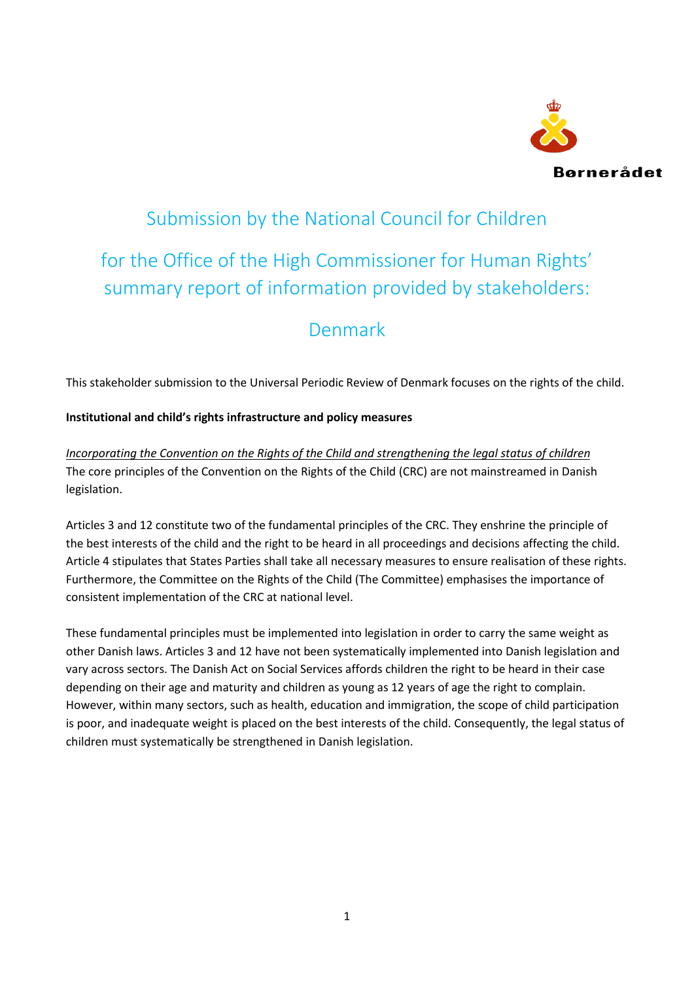

# Submission by the National Council for Children

## for the Office of the High Commissioner for Human Rights' summary report of information provided by stakeholders:

## Denmark

This stakeholder submission to the Universal Periodic Review of Denmark focuses on the rights of the child.

## **Institutional and child's rights infrastructure and policy measures**

*Incorporating the Convention on the Rights of the Child and strengthening the legal status of children* The core principles of the Convention on the Rights of the Child (CRC) are not mainstreamed in Danish legislation.

Articles 3 and 12 constitute two of the fundamental principles of the CRC. They enshrine the principle of the best interests of the child and the right to be heard in all proceedings and decisions affecting the child. Article 4 stipulates that States Parties shall take all necessary measures to ensure realisation of these rights. Furthermore, the Committee on the Rights of the Child (The Committee) emphasises the importance of consistent implementation of the CRC at national level.

These fundamental principles must be implemented into legislation in order to carry the same weight as other Danish laws. Articles 3 and 12 have not been systematically implemented into Danish legislation and vary across sectors. The Danish Act on Social Services affords children the right to be heard in their case depending on their age and maturity and children as young as 12 years of age the right to complain. However, within many sectors, such as health, education and immigration, the scope of child participation is poor, and inadequate weight is placed on the best interests of the child. Consequently, the legal status of children must systematically be strengthened in Danish legislation.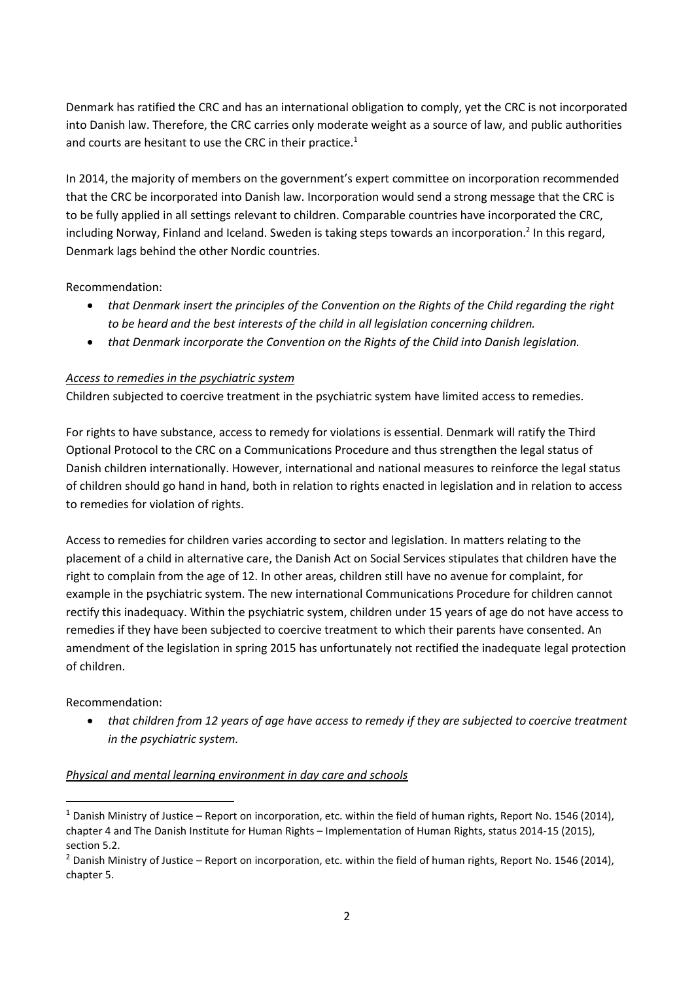Denmark has ratified the CRC and has an international obligation to comply, yet the CRC is not incorporated into Danish law. Therefore, the CRC carries only moderate weight as a source of law, and public authorities and courts are hesitant to use the CRC in their practice.<sup>1</sup>

In 2014, the majority of members on the government's expert committee on incorporation recommended that the CRC be incorporated into Danish law. Incorporation would send a strong message that the CRC is to be fully applied in all settings relevant to children. Comparable countries have incorporated the CRC, including Norway, Finland and Iceland. Sweden is taking steps towards an incorporation.<sup>2</sup> In this regard, Denmark lags behind the other Nordic countries.

Recommendation:

- *that Denmark insert the principles of the Convention on the Rights of the Child regarding the right to be heard and the best interests of the child in all legislation concerning children.*
- that Denmark incorporate the Convention on the Rights of the Child into Danish *legislation*.

## *Access to remedies in the psychiatric system*

Children subjected to coercive treatment in the psychiatric system have limited access to remedies.

For rights to have substance, access to remedy for violations is essential. Denmark will ratify the Third Optional Protocol to the CRC on a Communications Procedure and thus strengthen the legal status of Danish children internationally. However, international and national measures to reinforce the legal status of children should go hand in hand, both in relation to rights enacted in legislation and in relation to access to remedies for violation of rights.

Access to remedies for children varies according to sector and legislation. In matters relating to the placement of a child in alternative care, the Danish Act on Social Services stipulates that children have the right to complain from the age of 12. In other areas, children still have no avenue for complaint, for example in the psychiatric system. The new international Communications Procedure for children cannot rectify this inadequacy. Within the psychiatric system, children under 15 years of age do not have access to remedies if they have been subjected to coercive treatment to which their parents have consented. An amendment of the legislation in spring 2015 has unfortunately not rectified the inadequate legal protection of children.

## Recommendation:

1

 *that children from 12 years of age have access to remedy if they are subjected to coercive treatment in the psychiatric system.*

## *Physical and mental learning environment in day care and schools*

 $1$  Danish Ministry of Justice – Report on incorporation, etc. within the field of human rights, Report No. 1546 (2014), chapter 4 and The Danish Institute for Human Rights – Implementation of Human Rights, status 2014-15 (2015), section 5.2.

<sup>&</sup>lt;sup>2</sup> Danish Ministry of Justice – Report on incorporation, etc. within the field of human rights, Report No. 1546 (2014), chapter 5.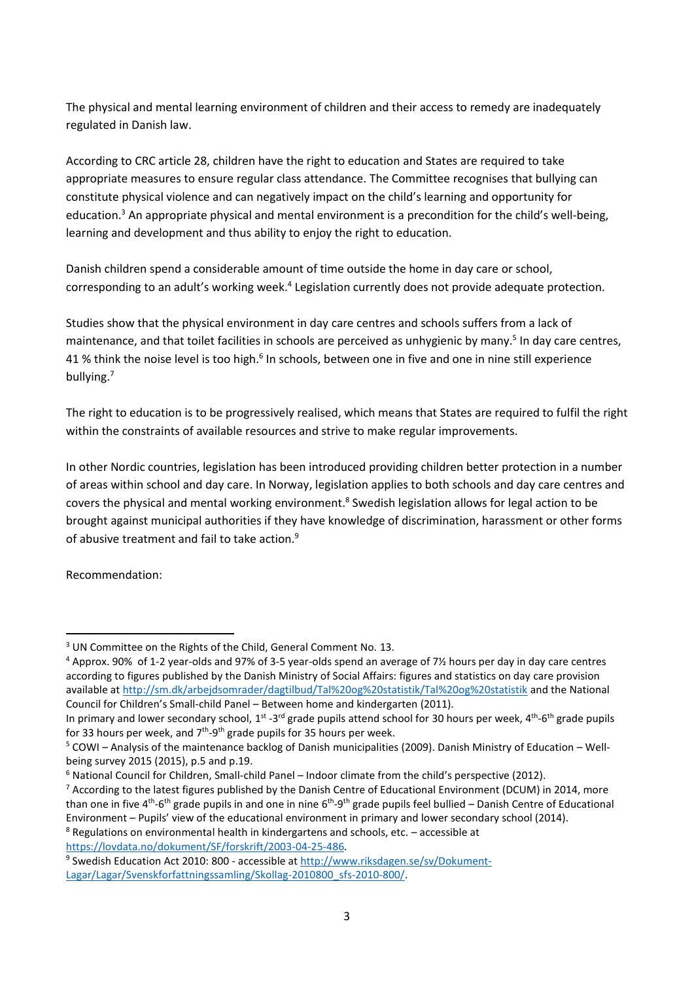The physical and mental learning environment of children and their access to remedy are inadequately regulated in Danish law.

According to CRC article 28, children have the right to education and States are required to take appropriate measures to ensure regular class attendance. The Committee recognises that bullying can constitute physical violence and can negatively impact on the child's learning and opportunity for education.<sup>3</sup> An appropriate physical and mental environment is a precondition for the child's well-being, learning and development and thus ability to enjoy the right to education.

Danish children spend a considerable amount of time outside the home in day care or school, corresponding to an adult's working week.<sup>4</sup> Legislation currently does not provide adequate protection.

Studies show that the physical environment in day care centres and schools suffers from a lack of maintenance, and that toilet facilities in schools are perceived as unhygienic by many.<sup>5</sup> In day care centres, 41 % think the noise level is too high.<sup>6</sup> In schools, between one in five and one in nine still experience bullying. 7

The right to education is to be progressively realised, which means that States are required to fulfil the right within the constraints of available resources and strive to make regular improvements.

In other Nordic countries, legislation has been introduced providing children better protection in a number of areas within school and day care. In Norway, legislation applies to both schools and day care centres and covers the physical and mental working environment.<sup>8</sup> Swedish legislation allows for legal action to be brought against municipal authorities if they have knowledge of discrimination, harassment or other forms of abusive treatment and fail to take action.<sup>9</sup>

Recommendation:

**.** 

[https://lovdata.no/dokument/SF/forskrift/2003-04-25-486.](https://lovdata.no/dokument/SF/forskrift/2003-04-25-486)

<sup>&</sup>lt;sup>3</sup> UN Committee on the Rights of the Child, General Comment No. 13.

<sup>4</sup> Approx. 90% of 1-2 year-olds and 97% of 3-5 year-olds spend an average of 7½ hours per day in day care centres according to figures published by the Danish Ministry of Social Affairs: figures and statistics on day care provision available at<http://sm.dk/arbejdsomrader/dagtilbud/Tal%20og%20statistik/Tal%20og%20statistik> and the National Council for Children's Small-child Panel – Between home and kindergarten (2011).

In primary and lower secondary school, 1<sup>st</sup> -3<sup>rd</sup> grade pupils attend school for 30 hours per week, 4<sup>th</sup>-6<sup>th</sup> grade pupils for 33 hours per week, and  $7<sup>th</sup>$ -9<sup>th</sup> grade pupils for 35 hours per week.

<sup>5</sup> COWI – Analysis of the maintenance backlog of Danish municipalities (2009). Danish Ministry of Education – Wellbeing survey 2015 (2015), p.5 and p.19.

<sup>6</sup> National Council for Children, Small-child Panel – Indoor climate from the child's perspective (2012).

 $7$  According to the latest figures published by the Danish Centre of Educational Environment (DCUM) in 2014, more than one in five 4<sup>th</sup>-6<sup>th</sup> grade pupils in and one in nine 6<sup>th</sup>-9<sup>th</sup> grade pupils feel bullied – Danish Centre of Educational Environment – Pupils' view of the educational environment in primary and lower secondary school (2014).  $8$  Regulations on environmental health in kindergartens and schools, etc.  $-$  accessible at

<sup>&</sup>lt;sup>9</sup> Swedish Education Act 2010: 800 - accessible at [http://www.riksdagen.se/sv/Dokument-](http://www.riksdagen.se/sv/Dokument-Lagar/Lagar/Svenskforfattningssamling/Skollag-2010800_sfs-2010-800/)[Lagar/Lagar/Svenskforfattningssamling/Skollag-2010800\\_sfs-2010-800/.](http://www.riksdagen.se/sv/Dokument-Lagar/Lagar/Svenskforfattningssamling/Skollag-2010800_sfs-2010-800/)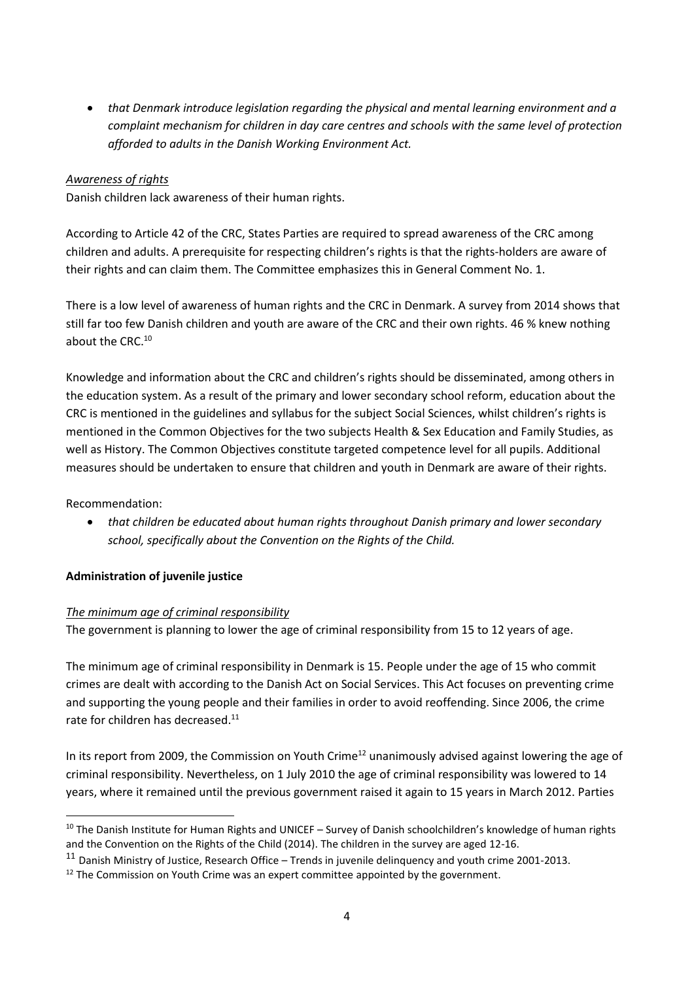*that Denmark introduce legislation regarding the physical and mental learning environment and a complaint mechanism for children in day care centres and schools with the same level of protection afforded to adults in the Danish Working Environment Act.*

## *Awareness of rights*

Danish children lack awareness of their human rights.

According to Article 42 of the CRC, States Parties are required to spread awareness of the CRC among children and adults. A prerequisite for respecting children's rights is that the rights-holders are aware of their rights and can claim them. The Committee emphasizes this in General Comment No. 1.

There is a low level of awareness of human rights and the CRC in Denmark. A survey from 2014 shows that still far too few Danish children and youth are aware of the CRC and their own rights. 46 % knew nothing about the CRC. 10

Knowledge and information about the CRC and children's rights should be disseminated, among others in the education system. As a result of the primary and lower secondary school reform, education about the CRC is mentioned in the guidelines and syllabus for the subject Social Sciences, whilst children's rights is mentioned in the Common Objectives for the two subjects Health & Sex Education and Family Studies, as well as History. The Common Objectives constitute targeted competence level for all pupils. Additional measures should be undertaken to ensure that children and youth in Denmark are aware of their rights.

## Recommendation:

**.** 

 *that children be educated about human rights throughout Danish primary and lower secondary school, specifically about the Convention on the Rights of the Child.*

## **Administration of juvenile justice**

## *The minimum age of criminal responsibility*

The government is planning to lower the age of criminal responsibility from 15 to 12 years of age.

The minimum age of criminal responsibility in Denmark is 15. People under the age of 15 who commit crimes are dealt with according to the Danish Act on Social Services. This Act focuses on preventing crime and supporting the young people and their families in order to avoid reoffending. Since 2006, the crime rate for children has decreased.<sup>11</sup>

In its report from 2009, the Commission on Youth Crime<sup>12</sup> unanimously advised against lowering the age of criminal responsibility. Nevertheless, on 1 July 2010 the age of criminal responsibility was lowered to 14 years, where it remained until the previous government raised it again to 15 years in March 2012. Parties

<sup>&</sup>lt;sup>10</sup> The Danish Institute for Human Rights and UNICEF – Survey of Danish schoolchildren's knowledge of human rights and the Convention on the Rights of the Child (2014). The children in the survey are aged 12-16.

 $11$  Danish Ministry of Justice, Research Office – Trends in juvenile delinguency and youth crime 2001-2013.

<sup>&</sup>lt;sup>12</sup> The Commission on Youth Crime was an expert committee appointed by the government.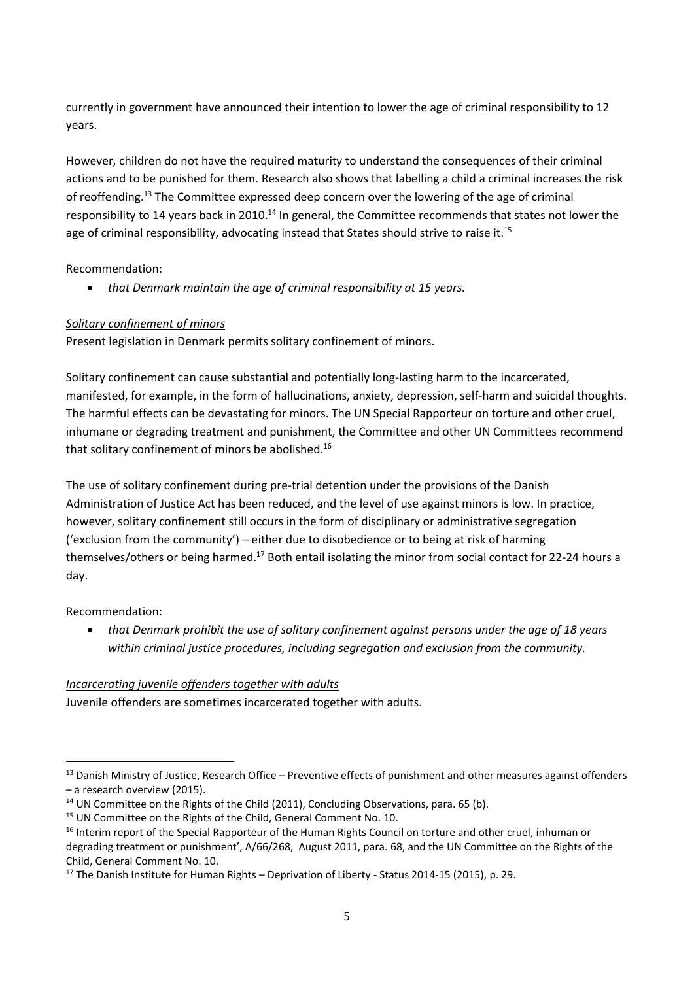currently in government have announced their intention to lower the age of criminal responsibility to 12 years.

However, children do not have the required maturity to understand the consequences of their criminal actions and to be punished for them. Research also shows that labelling a child a criminal increases the risk of reoffending.<sup>13</sup> The Committee expressed deep concern over the lowering of the age of criminal responsibility to 14 years back in 2010.<sup>14</sup> In general, the Committee recommends that states not lower the age of criminal responsibility, advocating instead that States should strive to raise it.<sup>15</sup>

Recommendation:

*that Denmark maintain the age of criminal responsibility at 15 years.*

## *Solitary confinement of minors*

Present legislation in Denmark permits solitary confinement of minors.

Solitary confinement can cause substantial and potentially long-lasting harm to the incarcerated, manifested, for example, in the form of hallucinations, anxiety, depression, self-harm and suicidal thoughts. The harmful effects can be devastating for minors. The UN Special Rapporteur on torture and other cruel, inhumane or degrading treatment and punishment, the Committee and other UN Committees recommend that solitary confinement of minors be abolished.<sup>16</sup>

The use of solitary confinement during pre-trial detention under the provisions of the Danish Administration of Justice Act has been reduced, and the level of use against minors is low. In practice, however, solitary confinement still occurs in the form of disciplinary or administrative segregation ('exclusion from the community') – either due to disobedience or to being at risk of harming themselves/others or being harmed.<sup>17</sup> Both entail isolating the minor from social contact for 22-24 hours a day.

## Recommendation:

**.** 

 *that Denmark prohibit the use of solitary confinement against persons under the age of 18 years within criminal justice procedures, including segregation and exclusion from the community.*

## *Incarcerating juvenile offenders together with adults*

Juvenile offenders are sometimes incarcerated together with adults.

<sup>&</sup>lt;sup>13</sup> Danish Ministry of Justice, Research Office – Preventive effects of punishment and other measures against offenders – a research overview (2015).

<sup>&</sup>lt;sup>14</sup> UN Committee on the Rights of the Child (2011), Concluding Observations, para. 65 (b).

<sup>&</sup>lt;sup>15</sup> UN Committee on the Rights of the Child, General Comment No. 10.

<sup>&</sup>lt;sup>16</sup> Interim report of the Special Rapporteur of the Human Rights Council on torture and other cruel, inhuman or degrading treatment or punishment', A/66/268, August 2011, para. 68, and the UN Committee on the Rights of the Child, General Comment No. 10.

<sup>&</sup>lt;sup>17</sup> The Danish Institute for Human Rights – Deprivation of Liberty - Status 2014-15 (2015), p. 29.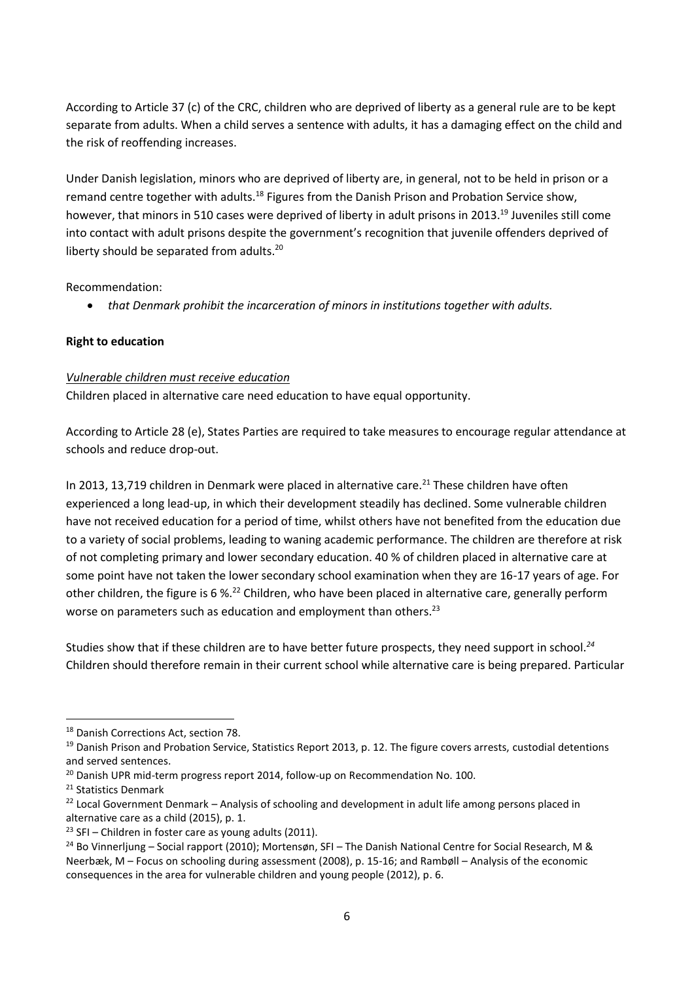According to Article 37 (c) of the CRC, children who are deprived of liberty as a general rule are to be kept separate from adults. When a child serves a sentence with adults, it has a damaging effect on the child and the risk of reoffending increases.

Under Danish legislation, minors who are deprived of liberty are, in general, not to be held in prison or a remand centre together with adults.<sup>18</sup> Figures from the Danish Prison and Probation Service show, however, that minors in 510 cases were deprived of liberty in adult prisons in 2013.<sup>19</sup> Juveniles still come into contact with adult prisons despite the government's recognition that juvenile offenders deprived of liberty should be separated from adults.<sup>20</sup>

Recommendation:

*that Denmark prohibit the incarceration of minors in institutions together with adults.*

## **Right to education**

#### *Vulnerable children must receive education*

Children placed in alternative care need education to have equal opportunity.

According to Article 28 (e), States Parties are required to take measures to encourage regular attendance at schools and reduce drop-out.

In 2013, 13,719 children in Denmark were placed in alternative care.<sup>21</sup> These children have often experienced a long lead-up, in which their development steadily has declined. Some vulnerable children have not received education for a period of time, whilst others have not benefited from the education due to a variety of social problems, leading to waning academic performance. The children are therefore at risk of not completing primary and lower secondary education. 40 % of children placed in alternative care at some point have not taken the lower secondary school examination when they are 16-17 years of age. For other children, the figure is 6 %.<sup>22</sup> Children, who have been placed in alternative care, generally perform worse on parameters such as education and employment than others.<sup>23</sup>

Studies show that if these children are to have better future prospects, they need support in school.*<sup>24</sup>* Children should therefore remain in their current school while alternative care is being prepared. Particular

1

<sup>&</sup>lt;sup>18</sup> Danish Corrections Act, section 78.

<sup>&</sup>lt;sup>19</sup> Danish Prison and Probation Service, Statistics Report 2013, p. 12. The figure covers arrests, custodial detentions and served sentences.

 $^{20}$  Danish UPR mid-term progress report 2014, follow-up on Recommendation No. 100.

<sup>21</sup> Statistics Denmark

 $22$  Local Government Denmark – Analysis of schooling and development in adult life among persons placed in alternative care as a child (2015), p. 1.

 $23$  SFI – Children in foster care as young adults (2011).

<sup>&</sup>lt;sup>24</sup> Bo Vinnerljung – Social rapport (2010); Mortensøn, SFI – The Danish National Centre for Social Research, M & Neerbæk, M – Focus on schooling during assessment (2008), p. 15-16; and Rambøll – Analysis of the economic consequences in the area for vulnerable children and young people (2012), p. 6.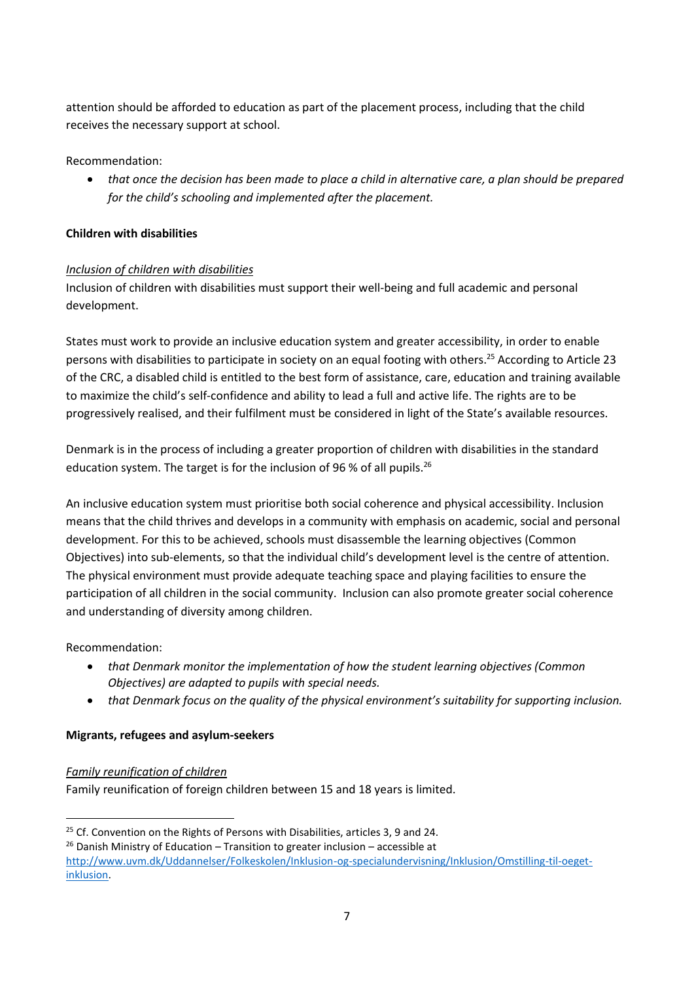attention should be afforded to education as part of the placement process, including that the child receives the necessary support at school.

## Recommendation:

 *that once the decision has been made to place a child in alternative care, a plan should be prepared for the child's schooling and implemented after the placement.*

## **Children with disabilities**

## *Inclusion of children with disabilities*

Inclusion of children with disabilities must support their well-being and full academic and personal development.

States must work to provide an inclusive education system and greater accessibility, in order to enable persons with disabilities to participate in society on an equal footing with others.<sup>25</sup> According to Article 23 of the CRC, a disabled child is entitled to the best form of assistance, care, education and training available to maximize the child's self-confidence and ability to lead a full and active life. The rights are to be progressively realised, and their fulfilment must be considered in light of the State's available resources.

Denmark is in the process of including a greater proportion of children with disabilities in the standard education system. The target is for the inclusion of 96 % of all pupils.<sup>26</sup>

An inclusive education system must prioritise both social coherence and physical accessibility. Inclusion means that the child thrives and develops in a community with emphasis on academic, social and personal development. For this to be achieved, schools must disassemble the learning objectives (Common Objectives) into sub-elements, so that the individual child's development level is the centre of attention. The physical environment must provide adequate teaching space and playing facilities to ensure the participation of all children in the social community. Inclusion can also promote greater social coherence and understanding of diversity among children.

Recommendation:

1

- *that Denmark monitor the implementation of how the student learning objectives (Common Objectives) are adapted to pupils with special needs.*
- that Denmark focus on the quality of the physical environment's suitability for supporting inclusion.

## **Migrants, refugees and asylum-seekers**

## *Family reunification of children*

Family reunification of foreign children between 15 and 18 years is limited.

<sup>&</sup>lt;sup>25</sup> Cf. Convention on the Rights of Persons with Disabilities, articles 3, 9 and 24.

 $26$  Danish Ministry of Education – Transition to greater inclusion – accessible at

[http://www.uvm.dk/Uddannelser/Folkeskolen/Inklusion-og-specialundervisning/Inklusion/Omstilling-til-oeget](http://www.uvm.dk/Uddannelser/Folkeskolen/Inklusion-og-specialundervisning/Inklusion/Omstilling-til-oeget-inklusion)[inklusion.](http://www.uvm.dk/Uddannelser/Folkeskolen/Inklusion-og-specialundervisning/Inklusion/Omstilling-til-oeget-inklusion)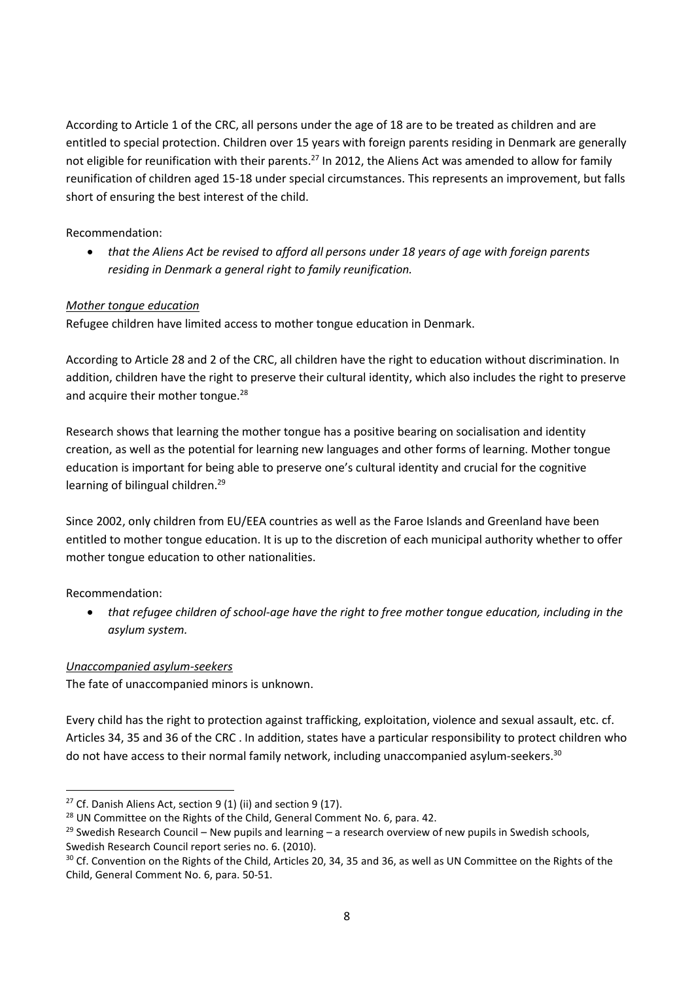According to Article 1 of the CRC, all persons under the age of 18 are to be treated as children and are entitled to special protection. Children over 15 years with foreign parents residing in Denmark are generally not eligible for reunification with their parents.<sup>27</sup> In 2012, the Aliens Act was amended to allow for family reunification of children aged 15-18 under special circumstances. This represents an improvement, but falls short of ensuring the best interest of the child.

Recommendation:

 *that the Aliens Act be revised to afford all persons under 18 years of age with foreign parents residing in Denmark a general right to family reunification.*

## *Mother tongue education*

Refugee children have limited access to mother tongue education in Denmark.

According to Article 28 and 2 of the CRC, all children have the right to education without discrimination. In addition, children have the right to preserve their cultural identity, which also includes the right to preserve and acquire their mother tongue.<sup>28</sup>

Research shows that learning the mother tongue has a positive bearing on socialisation and identity creation, as well as the potential for learning new languages and other forms of learning. Mother tongue education is important for being able to preserve one's cultural identity and crucial for the cognitive learning of bilingual children.<sup>29</sup>

Since 2002, only children from EU/EEA countries as well as the Faroe Islands and Greenland have been entitled to mother tongue education. It is up to the discretion of each municipal authority whether to offer mother tongue education to other nationalities.

Recommendation:

1

 *that refugee children of school-age have the right to free mother tongue education, including in the asylum system.*

## *Unaccompanied asylum-seekers*

The fate of unaccompanied minors is unknown.

Every child has the right to protection against trafficking, exploitation, violence and sexual assault, etc. cf. Articles 34, 35 and 36 of the CRC . In addition, states have a particular responsibility to protect children who do not have access to their normal family network, including unaccompanied asylum-seekers.<sup>30</sup>

<sup>&</sup>lt;sup>27</sup> Cf. Danish Aliens Act, section 9 (1) (ii) and section 9 (17).

<sup>&</sup>lt;sup>28</sup> UN Committee on the Rights of the Child, General Comment No. 6, para. 42.

 $29$  Swedish Research Council – New pupils and learning – a research overview of new pupils in Swedish schools, Swedish Research Council report series no. 6. (2010).

 $30$  Cf. Convention on the Rights of the Child, Articles 20, 34, 35 and 36, as well as UN Committee on the Rights of the Child, General Comment No. 6, para. 50-51.